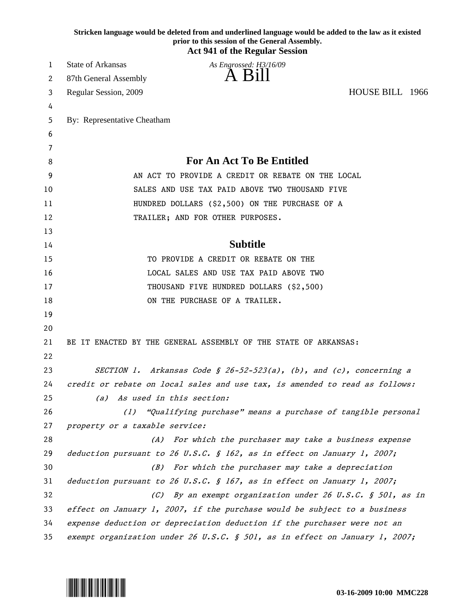|    | Stricken language would be deleted from and underlined language would be added to the law as it existed<br>prior to this session of the General Assembly.<br><b>Act 941 of the Regular Session</b> |
|----|----------------------------------------------------------------------------------------------------------------------------------------------------------------------------------------------------|
| 1  | <b>State of Arkansas</b><br>As Engrossed: H3/16/09                                                                                                                                                 |
| 2  | A Bill<br>87th General Assembly                                                                                                                                                                    |
| 3  | HOUSE BILL 1966<br>Regular Session, 2009                                                                                                                                                           |
| 4  |                                                                                                                                                                                                    |
| 5  | By: Representative Cheatham                                                                                                                                                                        |
| 6  |                                                                                                                                                                                                    |
| 7  |                                                                                                                                                                                                    |
| 8  | <b>For An Act To Be Entitled</b>                                                                                                                                                                   |
| 9  | AN ACT TO PROVIDE A CREDIT OR REBATE ON THE LOCAL                                                                                                                                                  |
| 10 | SALES AND USE TAX PAID ABOVE TWO THOUSAND FIVE                                                                                                                                                     |
| 11 | HUNDRED DOLLARS (\$2,500) ON THE PURCHASE OF A                                                                                                                                                     |
| 12 | TRAILER; AND FOR OTHER PURPOSES.                                                                                                                                                                   |
| 13 |                                                                                                                                                                                                    |
| 14 | <b>Subtitle</b>                                                                                                                                                                                    |
| 15 | TO PROVIDE A CREDIT OR REBATE ON THE                                                                                                                                                               |
| 16 | LOCAL SALES AND USE TAX PAID ABOVE TWO                                                                                                                                                             |
| 17 | THOUSAND FIVE HUNDRED DOLLARS (\$2,500)                                                                                                                                                            |
| 18 | ON THE PURCHASE OF A TRAILER.                                                                                                                                                                      |
| 19 |                                                                                                                                                                                                    |
| 20 |                                                                                                                                                                                                    |
| 21 | BE IT ENACTED BY THE GENERAL ASSEMBLY OF THE STATE OF ARKANSAS:                                                                                                                                    |
| 22 |                                                                                                                                                                                                    |
| 23 | SECTION 1. Arkansas Code § 26-52-523(a), (b), and (c), concerning a                                                                                                                                |
| 24 | credit or rebate on local sales and use tax, is amended to read as follows:                                                                                                                        |
| 25 | As used in this section:<br>(a)                                                                                                                                                                    |
| 26 | "Qualifying purchase" means a purchase of tangible personal<br>(1)                                                                                                                                 |
| 27 | property or a taxable service:                                                                                                                                                                     |
| 28 | (A) For which the purchaser may take a business expense                                                                                                                                            |
| 29 | deduction pursuant to 26 U.S.C. § 162, as in effect on January 1, 2007;                                                                                                                            |
| 30 | For which the purchaser may take a depreciation<br>(B)                                                                                                                                             |
| 31 | deduction pursuant to 26 U.S.C. § 167, as in effect on January 1, 2007;                                                                                                                            |
| 32 | (C) By an exempt organization under 26 U.S.C. $\S$ 501, as in                                                                                                                                      |
| 33 | effect on January 1, 2007, if the purchase would be subject to a business                                                                                                                          |
| 34 | expense deduction or depreciation deduction if the purchaser were not an                                                                                                                           |
| 35 | exempt organization under 26 U.S.C. § 501, as in effect on January 1, 2007;                                                                                                                        |

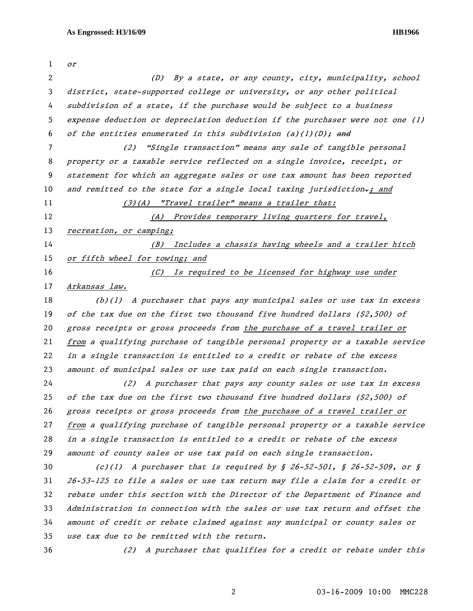or (D) By a state, or any county, city, municipality, school district, state-supported college or university, or any other political subdivision of a state, if the purchase would be subject to a business expense deduction or depreciation deduction if the purchaser were not one (1) 6 of the entities enumerated in this subdivision (a)(1)(D); and (2) "Single transaction" means any sale of tangible personal property or a taxable service reflected on a single invoice, receipt, or statement for which an aggregate sales or use tax amount has been reported 10 and remitted to the state for a single local taxing jurisdiction $\cdot$ ; and (3)(A) "Travel trailer" means a trailer that: 12 (A) Provides temporary living quarters for travel, 13 recreation, or camping; (B) Includes a chassis having wheels and a trailer hitch 15 or fifth wheel for towing; and 16 (C) Is required to be licensed for highway use under Arkansas law. (b)(1) A purchaser that pays any municipal sales or use tax in excess 19 of the tax due on the first two thousand five hundred dollars  $(52,500)$  of gross receipts or gross proceeds from the purchase of a travel trailer or from a qualifying purchase of tangible personal property or a taxable service in a single transaction is entitled to a credit or rebate of the excess amount of municipal sales or use tax paid on each single transaction. (2) A purchaser that pays any county sales or use tax in excess 25 of the tax due on the first two thousand five hundred dollars  $(2,500)$  of 26 gross receipts or gross proceeds from the purchase of a travel trailer or 27 from a qualifying purchase of tangible personal property or a taxable service in a single transaction is entitled to a credit or rebate of the excess amount of county sales or use tax paid on each single transaction. (c)(1) A purchaser that is required by § 26-52-501, § 26-52-509, or § 26-53-125 to file a sales or use tax return may file a claim for a credit or rebate under this section with the Director of the Department of Finance and Administration in connection with the sales or use tax return and offset the amount of credit or rebate claimed against any municipal or county sales or use tax due to be remitted with the return. (2) A purchaser that qualifies for a credit or rebate under this